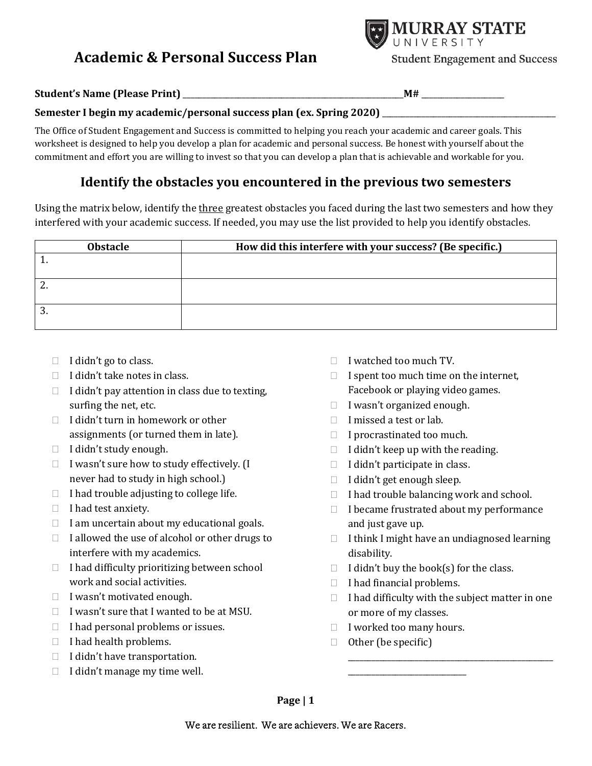# **Academic & Personal Success Plan**



**Student Engagement and Success** 

**Student's Name (Please Print)** \_\_\_\_\_\_\_\_\_\_\_\_\_\_\_\_\_\_\_\_\_\_\_\_\_\_\_\_\_\_\_\_\_\_\_\_\_\_\_\_\_\_\_\_\_\_\_\_\_\_\_\_\_\_\_\_**M#** \_\_\_\_\_\_\_\_\_\_\_\_\_\_\_\_\_\_\_\_\_

#### **Semester I begin my academic/personal success plan (ex. Spring 2020)** \_\_\_\_\_\_\_\_\_\_\_\_\_\_\_\_\_\_\_\_\_\_\_\_\_\_\_\_\_\_\_\_\_\_\_\_\_\_\_\_\_\_\_\_

The Office of Student Engagement and Success is committed to helping you reach your academic and career goals. This worksheet is designed to help you develop a plan for academic and personal success. Be honest with yourself about the commitment and effort you are willing to invest so that you can develop a plan that is achievable and workable for you.

### **Identify the obstacles you encountered in the previous two semesters**

Using the matrix below, identify the three greatest obstacles you faced during the last two semesters and how they interfered with your academic success. If needed, you may use the list provided to help you identify obstacles.

| <b>Obstacle</b> | How did this interfere with your success? (Be specific.) |  |  |  |
|-----------------|----------------------------------------------------------|--|--|--|
|                 |                                                          |  |  |  |
| <u>.</u>        |                                                          |  |  |  |
| J.              |                                                          |  |  |  |

- $\Box$  I didn't go to class.
- $\Box$  I didn't take notes in class.
- $\Box$  I didn't pay attention in class due to texting, surfing the net, etc.
- $\Box$  I didn't turn in homework or other assignments (or turned them in late).
- $\Box$  I didn't study enough.
- $\Box$  I wasn't sure how to study effectively. (I never had to study in high school.)
- $\Box$  I had trouble adjusting to college life.
- $\Box$  I had test anxiety.
- $\Box$  I am uncertain about my educational goals.
- $\Box$  I allowed the use of alcohol or other drugs to interfere with my academics.
- $\Box$  I had difficulty prioritizing between school work and social activities.
- $\Box$  I wasn't motivated enough.
- $\Box$  I wasn't sure that I wanted to be at MSU.
- $\Box$  I had personal problems or issues.
- $\Box$  I had health problems.
- $\Box$  I didn't have transportation.
- $\Box$  I didn't manage my time well.
- $\Box$  I watched too much TV.
- $\Box$  I spent too much time on the internet, Facebook or playing video games.
- $\Box$  I wasn't organized enough.
- $\Box$  I missed a test or lab.
- $\Box$  I procrastinated too much.
- $\Box$  I didn't keep up with the reading.
- $\Box$  I didn't participate in class.
- $\Box$  I didn't get enough sleep.
- $\Box$  I had trouble balancing work and school.
- $\Box$  I became frustrated about my performance and just gave up.
- $\Box$  I think I might have an undiagnosed learning disability.
- $\Box$  I didn't buy the book(s) for the class.
- $\Box$  I had financial problems.
- $\Box$  I had difficulty with the subject matter in one or more of my classes.

\_\_\_\_\_\_\_\_\_\_\_\_\_\_\_\_\_\_\_\_\_\_\_\_\_\_\_\_\_\_\_\_\_\_\_\_\_\_\_\_\_\_\_\_\_\_\_\_\_\_\_\_

 $\Box$  I worked too many hours.

\_\_\_\_\_\_\_\_\_\_\_\_\_\_\_\_\_\_\_\_\_\_\_\_\_\_\_\_\_\_

 $\Box$  Other (be specific)

**Page | 1**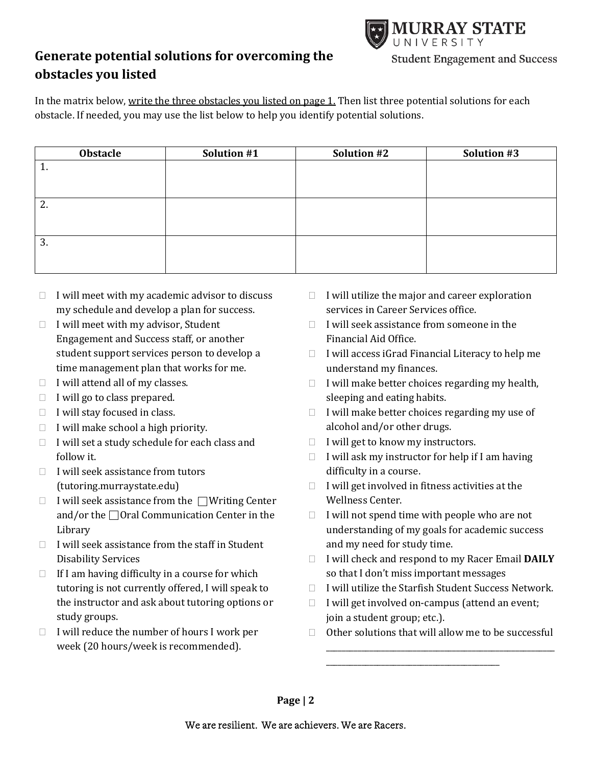

## **Generate potential solutions for overcoming the obstacles you listed**

In the matrix below, write the three obstacles you listed on page 1. Then list three potential solutions for each obstacle. If needed, you may use the list below to help you identify potential solutions.

| Obstacle | Solution #1 | Solution #2 | Solution #3 |
|----------|-------------|-------------|-------------|
| π.       |             |             |             |
|          |             |             |             |
|          |             |             |             |
| ົ<br>Ζ.  |             |             |             |
|          |             |             |             |
|          |             |             |             |
| 3.       |             |             |             |
|          |             |             |             |
|          |             |             |             |

- $\Box$  I will meet with my academic advisor to discuss my schedule and develop a plan for success.
- $\Box$  I will meet with my advisor, Student Engagement and Success staff, or another student support services person to develop a time management plan that works for me.
- $\Box$  I will attend all of my classes.
- $\Box$  I will go to class prepared.
- $\Box$  I will stay focused in class.
- $\Box$  I will make school a high priority.
- $\Box$  I will set a study schedule for each class and follow it.
- $\Box$  I will seek assistance from tutors (tutoring.murraystate.edu)
- $\Box$  I will seek assistance from the  $\Box$  Writing Center and/or the  $\Box$  Oral Communication Center in the Library
- $\Box$  I will seek assistance from the staff in Student Disability Services
- $\Box$  If I am having difficulty in a course for which tutoring is not currently offered, I will speak to the instructor and ask about tutoring options or study groups.
- $\Box$  I will reduce the number of hours I work per week (20 hours/week is recommended).
- $\Box$  I will utilize the major and career exploration services in Career Services office.
- $\Box$  I will seek assistance from someone in the Financial Aid Office.
- $\Box$  I will access iGrad Financial Literacy to help me understand my finances.
- $\Box$  I will make better choices regarding my health, sleeping and eating habits.
- $\Box$  I will make better choices regarding my use of alcohol and/or other drugs.
- $\Box$  I will get to know my instructors.
- $\Box$  I will ask my instructor for help if I am having difficulty in a course.
- $\Box$  I will get involved in fitness activities at the Wellness Center.
- $\Box$  I will not spend time with people who are not understanding of my goals for academic success and my need for study time.
- I will check and respond to my Racer Email **DAILY**  so that I don't miss important messages
- $\Box$  I will utilize the Starfish Student Success Network.
- $\Box$  I will get involved on-campus (attend an event; join a student group; etc.).

\_\_\_\_\_\_\_\_\_\_\_\_\_\_\_\_\_\_\_\_\_\_\_\_\_\_\_\_\_\_\_\_\_\_\_\_\_\_\_\_\_\_\_\_

 $\Box$  Other solutions that will allow me to be successful

\_\_\_\_\_\_\_\_\_\_\_\_\_\_\_\_\_\_\_\_\_\_\_\_\_\_\_\_\_\_\_\_\_\_\_\_\_\_\_\_\_\_\_\_\_\_\_\_\_\_\_\_\_\_\_\_\_\_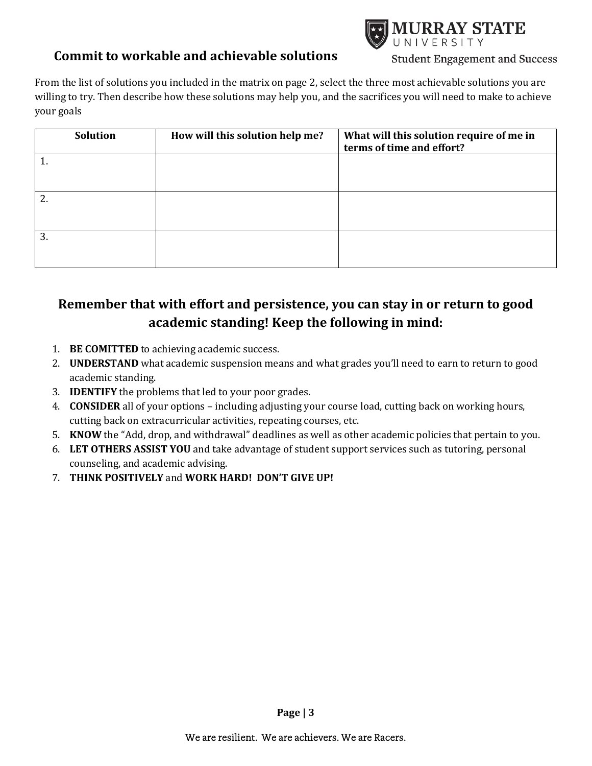### **Commit to workable and achievable solutions**



**Student Engagement and Success** 

From the list of solutions you included in the matrix on page 2, select the three most achievable solutions you are willing to try. Then describe how these solutions may help you, and the sacrifices you will need to make to achieve your goals

| <b>Solution</b> | How will this solution help me? | What will this solution require of me in<br>terms of time and effort? |
|-----------------|---------------------------------|-----------------------------------------------------------------------|
|                 |                                 |                                                                       |
| っ               |                                 |                                                                       |
| 3.              |                                 |                                                                       |

# **Remember that with effort and persistence, you can stay in or return to good academic standing! Keep the following in mind:**

- 1. **BE COMITTED** to achieving academic success.
- 2. **UNDERSTAND** what academic suspension means and what grades you'll need to earn to return to good academic standing.
- 3. **IDENTIFY** the problems that led to your poor grades.
- 4. **CONSIDER** all of your options including adjusting your course load, cutting back on working hours, cutting back on extracurricular activities, repeating courses, etc.
- 5. **KNOW** the "Add, drop, and withdrawal" deadlines as well as other academic policies that pertain to you.
- 6. **LET OTHERS ASSIST YOU** and take advantage of student support services such as tutoring, personal counseling, and academic advising.
- 7. **THINK POSITIVELY** and **WORK HARD! DON'T GIVE UP!**